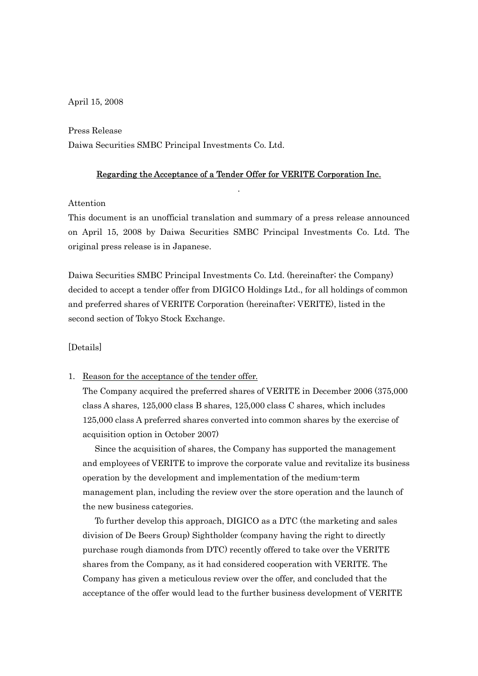April 15, 2008

Press Release

Daiwa Securities SMBC Principal Investments Co. Ltd.

# Regarding the Acceptance of a Tender Offer for VERITE Corporation Inc. .

#### Attention

This document is an unofficial translation and summary of a press release announced on April 15, 2008 by Daiwa Securities SMBC Principal Investments Co. Ltd. The original press release is in Japanese.

Daiwa Securities SMBC Principal Investments Co. Ltd. (hereinafter; the Company) decided to accept a tender offer from DIGICO Holdings Ltd., for all holdings of common and preferred shares of VERITE Corporation (hereinafter; VERITE), listed in the second section of Tokyo Stock Exchange.

## [Details]

#### 1. Reason for the acceptance of the tender offer.

The Company acquired the preferred shares of VERITE in December 2006 (375,000 class A shares, 125,000 class B shares, 125,000 class C shares, which includes 125,000 class A preferred shares converted into common shares by the exercise of acquisition option in October 2007)

 Since the acquisition of shares, the Company has supported the management and employees of VERITE to improve the corporate value and revitalize its business operation by the development and implementation of the medium-term management plan, including the review over the store operation and the launch of the new business categories.

 To further develop this approach, DIGICO as a DTC (the marketing and sales division of De Beers Group) Sightholder (company having the right to directly purchase rough diamonds from DTC) recently offered to take over the VERITE shares from the Company, as it had considered cooperation with VERITE. The Company has given a meticulous review over the offer, and concluded that the acceptance of the offer would lead to the further business development of VERITE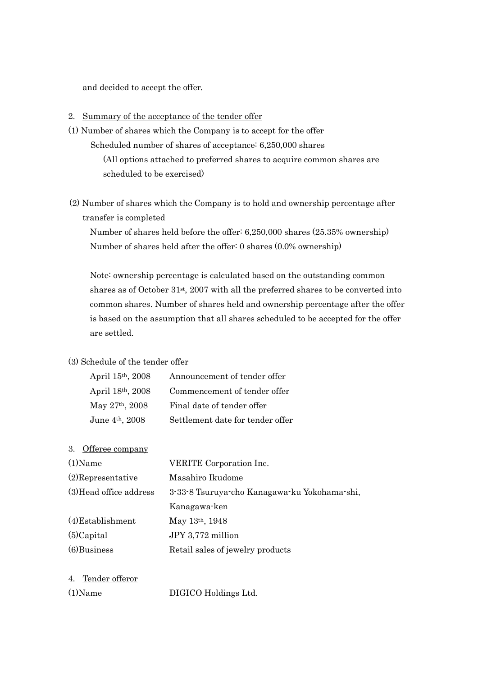and decided to accept the offer.

## 2. Summary of the acceptance of the tender offer

- (1) Number of shares which the Company is to accept for the offer Scheduled number of shares of acceptance: 6,250,000 shares (All options attached to preferred shares to acquire common shares are scheduled to be exercised)
- (2) Number of shares which the Company is to hold and ownership percentage after transfer is completed

 Number of shares held before the offer: 6,250,000 shares (25.35% ownership) Number of shares held after the offer: 0 shares (0.0% ownership)

Note: ownership percentage is calculated based on the outstanding common shares as of October 31st, 2007 with all the preferred shares to be converted into common shares. Number of shares held and ownership percentage after the offer is based on the assumption that all shares scheduled to be accepted for the offer are settled.

## (3) Schedule of the tender offer

| April 15th, 2008    | Announcement of tender offer     |
|---------------------|----------------------------------|
| April 18th, 2008    | Commencement of tender offer     |
| May $27th$ , $2008$ | Final date of tender offer       |
| June $4th$ , 2008   | Settlement date for tender offer |

3. Offeree company

| $(1)$ Name              | <b>VERITE</b> Corporation Inc.               |  |
|-------------------------|----------------------------------------------|--|
| $(2)$ Representative    | Masahiro Ikudome                             |  |
| (3) Head office address | 3-33-8 Tsuruya-cho Kanagawa-ku Yokohama-shi, |  |
|                         | Kanagawa-ken                                 |  |
| $(4)$ Establishment     | May 13th, 1948                               |  |
| $(5)$ Capital           | JPY 3,772 million                            |  |
| $(6)$ Business          | Retail sales of jewelry products             |  |
|                         |                                              |  |

4. Tender offeror

```
(1)Name DIGICO Holdings Ltd.
```